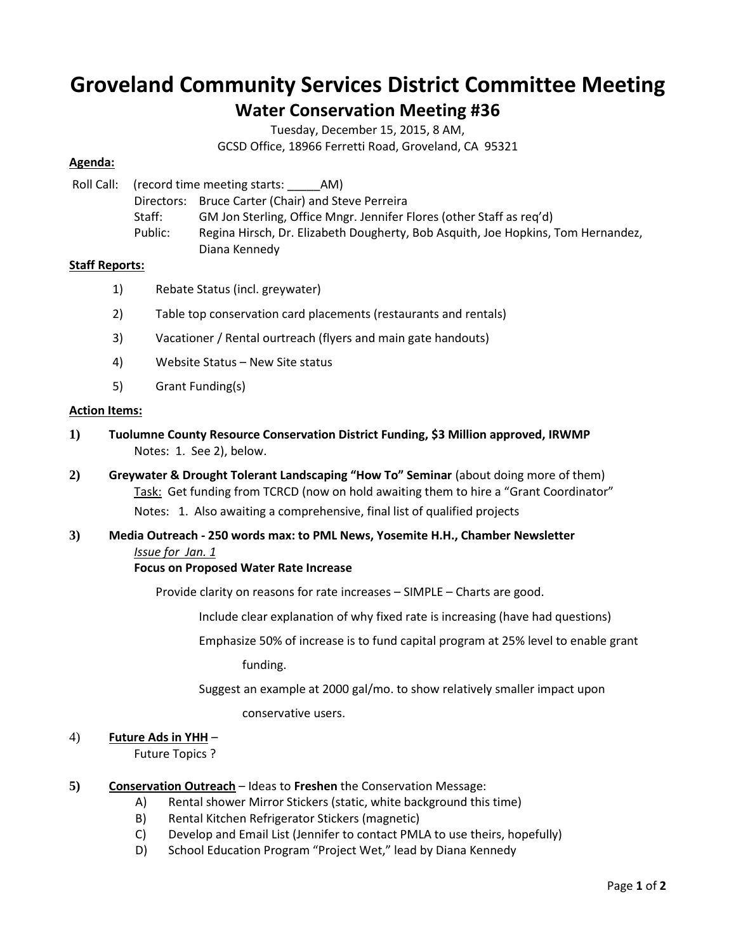# **Groveland Community Services District Committee Meeting**

# **Water Conservation Meeting #36**

Tuesday, December 15, 2015, 8 AM,

GCSD Office, 18966 Ferretti Road, Groveland, CA 95321

# **Agenda:**

Roll Call: (record time meeting starts: \_\_\_\_\_AM) Directors: Bruce Carter (Chair) and Steve Perreira Staff: GM Jon Sterling, Office Mngr. Jennifer Flores (other Staff as req'd) Public: Regina Hirsch, Dr. Elizabeth Dougherty, Bob Asquith, Joe Hopkins, Tom Hernandez, Diana Kennedy

# **Staff Reports:**

- 1) Rebate Status (incl. greywater)
- 2) Table top conservation card placements (restaurants and rentals)
- 3) Vacationer / Rental ourtreach (flyers and main gate handouts)
- 4) Website Status New Site status
- 5) Grant Funding(s)

#### **Action Items:**

- **1) Tuolumne County Resource Conservation District Funding, \$3 Million approved, IRWMP** Notes: 1. See 2), below.
- **2) Greywater & Drought Tolerant Landscaping "How To" Seminar** (about doing more of them) Task: Get funding from TCRCD (now on hold awaiting them to hire a "Grant Coordinator" Notes: 1. Also awaiting a comprehensive, final list of qualified projects
- **3) Media Outreach - 250 words max: to PML News, Yosemite H.H., Chamber Newsletter** *Issue for Jan. 1*

#### **Focus on Proposed Water Rate Increase**

Provide clarity on reasons for rate increases – SIMPLE – Charts are good.

Include clear explanation of why fixed rate is increasing (have had questions)

Emphasize 50% of increase is to fund capital program at 25% level to enable grant

funding.

Suggest an example at 2000 gal/mo. to show relatively smaller impact upon

conservative users.

#### 4) **Future Ads in YHH** –

Future Topics ?

- **5) Conservation Outreach** Ideas to **Freshen** the Conservation Message:
	- A) Rental shower Mirror Stickers (static, white background this time)
	- B) Rental Kitchen Refrigerator Stickers (magnetic)
	- C) Develop and Email List (Jennifer to contact PMLA to use theirs, hopefully)
	- D) School Education Program "Project Wet," lead by Diana Kennedy